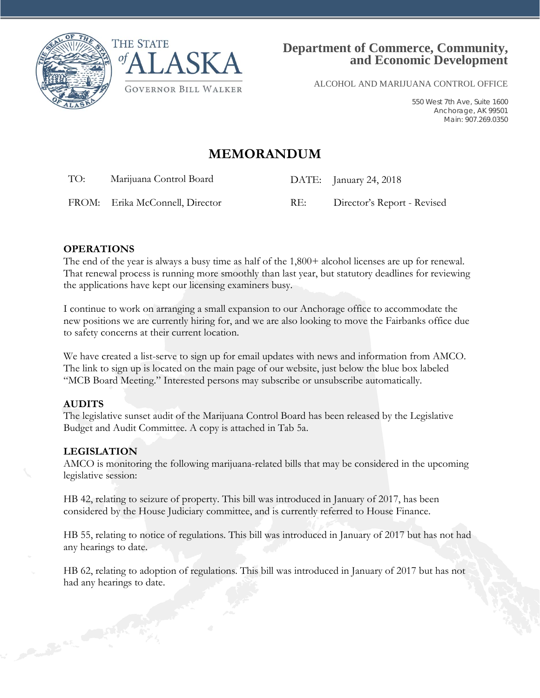



ALCOHOL AND MARIJUANA CONTROL OFFICE

550 West 7th Ave, Suite 1600 Anchorage, AK 99501 Main: 907.269.0350

# **MEMORANDUM**

TO: Marijuana Control Board DATE: January 24, 2018

FROM: Erika McConnell, Director RE: Director's Report - Revised

## **OPERATIONS**

The end of the year is always a busy time as half of the 1,800+ alcohol licenses are up for renewal. That renewal process is running more smoothly than last year, but statutory deadlines for reviewing the applications have kept our licensing examiners busy.

I continue to work on arranging a small expansion to our Anchorage office to accommodate the new positions we are currently hiring for, and we are also looking to move the Fairbanks office due to safety concerns at their current location.

We have created a list-serve to sign up for email updates with news and information from AMCO. The link to sign up is located on the main page of our website, just below the blue box labeled "MCB Board Meeting." Interested persons may subscribe or unsubscribe automatically.

#### **AUDITS**

The legislative sunset audit of the Marijuana Control Board has been released by the Legislative Budget and Audit Committee. A copy is attached in Tab 5a.

## **LEGISLATION**

AMCO is monitoring the following marijuana-related bills that may be considered in the upcoming legislative session:

HB 42, relating to seizure of property. This bill was introduced in January of 2017, has been considered by the House Judiciary committee, and is currently referred to House Finance.

HB 55, relating to notice of regulations. This bill was introduced in January of 2017 but has not had any hearings to date.

HB 62, relating to adoption of regulations. This bill was introduced in January of 2017 but has not had any hearings to date.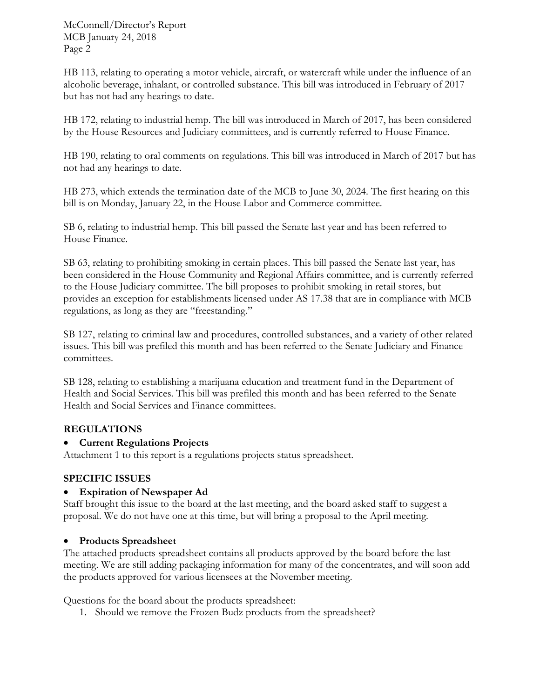McConnell/Director's Report MCB January 24, 2018 Page 2

HB 113, relating to operating a motor vehicle, aircraft, or watercraft while under the influence of an alcoholic beverage, inhalant, or controlled substance. This bill was introduced in February of 2017 but has not had any hearings to date.

HB 172, relating to industrial hemp. The bill was introduced in March of 2017, has been considered by the House Resources and Judiciary committees, and is currently referred to House Finance.

HB 190, relating to oral comments on regulations. This bill was introduced in March of 2017 but has not had any hearings to date.

HB 273, which extends the termination date of the MCB to June 30, 2024. The first hearing on this bill is on Monday, January 22, in the House Labor and Commerce committee.

SB 6, relating to industrial hemp. This bill passed the Senate last year and has been referred to House Finance.

SB 63, relating to prohibiting smoking in certain places. This bill passed the Senate last year, has been considered in the House Community and Regional Affairs committee, and is currently referred to the House Judiciary committee. The bill proposes to prohibit smoking in retail stores, but provides an exception for establishments licensed under AS 17.38 that are in compliance with MCB regulations, as long as they are "freestanding."

SB 127, relating to criminal law and procedures, controlled substances, and a variety of other related issues. This bill was prefiled this month and has been referred to the Senate Judiciary and Finance committees.

SB 128, relating to establishing a marijuana education and treatment fund in the Department of Health and Social Services. This bill was prefiled this month and has been referred to the Senate Health and Social Services and Finance committees.

## **REGULATIONS**

## • **Current Regulations Projects**

Attachment 1 to this report is a regulations projects status spreadsheet.

## **SPECIFIC ISSUES**

## • **Expiration of Newspaper Ad**

Staff brought this issue to the board at the last meeting, and the board asked staff to suggest a proposal. We do not have one at this time, but will bring a proposal to the April meeting.

## • **Products Spreadsheet**

The attached products spreadsheet contains all products approved by the board before the last meeting. We are still adding packaging information for many of the concentrates, and will soon add the products approved for various licensees at the November meeting.

Questions for the board about the products spreadsheet:

1. Should we remove the Frozen Budz products from the spreadsheet?